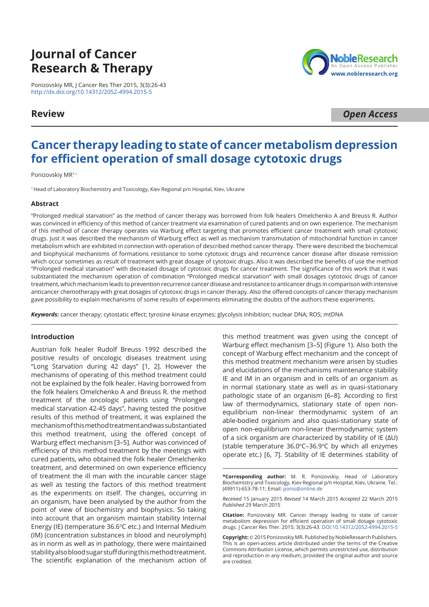# **Journal of Cancer Research & Therapy**

Ponizovskiy MR, J Cancer Res Ther 2015, 3(3):26-43 [http://dx.doi.org/10.14312/2052-4994.2015](http://dx.doi.org/10.14312/2052-4994.2015-5)-5

## **Review**

NobleResear Open Access Publisher www.nobleresearch.org

*Open Access*

## **Cancer therapy leading to state of cancer metabolism depression for efficient operation of small dosage cytotoxic drugs**

Ponizovskiy MR<sup>1,\*</sup>

<sup>1</sup>Head of Laboratory Biochemistry and Toxicology, Kiev Regional p/n Hospital, Kiev, Ukraine

## **Abstract**

"Prolonged medical starvation" as the method of cancer therapy was borrowed from folk healers Omelchenko A and Breuss R. Author was convinced in efficiency of this method of cancer treatment via examination of cured patients and on own experience. The mechanism of this method of cancer therapy operates via Warburg effect targeting that promotes efficient cancer treatment with small cytotoxic drugs. Just it was described the mechanism of Warburg effect as well as mechanism transmutation of mitochondrial function in cancer metabolism which are exhibited in connection with operation of described method cancer therapy. There were described the biochemical and biophysical mechanisms of formations resistance to some cytotoxic drugs and recurrence cancer disease after disease remission which occur sometimes as result of treatment with great dosage of cytotoxic drugs. Also it was described the benefits of use the method "Prolonged medical starvation" with decreased dosage of cytotoxic drugs for cancer treatment. The significance of this work that it was substantiated the mechanism operation of combination "Prolonged medical starvation" with small dosages cytotoxic drugs of cancer treatment, which mechanism leads to prevention recurrence cancer disease and resistance to anticancer drugs in comparison with intensive anticancer chemotherapy with great dosages of cytotoxic drugs in cancer therapy. Also the offered concepts of cancer therapy mechanism gave possibility to explain mechanisms of some results of experiments eliminating the doubts of the authors these experiments.

*Keywords:* cancer therapy; cytostatic effect; tyrosine kinase enzymes; glycolysis inhibition; nuclear DNA; ROS; mtDNA

## **Introduction**

Austrian folk healer Rudolf Breuss 1992 described the positive results of oncologic diseases treatment using "Long Starvation during 42 days" [1, 2]. However the mechanisms of operating of this method treatment could not be explained by the folk healer. Having borrowed from the folk healers Omelchenko A and Breuss R. the method treatment of the oncologic patients using "Prolonged medical starvation 42-45 days", having tested the positive results of this method of treatment, it was explained the mechanism of this method treatment and was substantiated this method treatment, using the offered concept of Warburg effect mechanism [3–5]. Author was convinced of efficiency of this method treatment by the meetings with cured patients, who obtained the folk healer Omelchenko treatment, and determined on own experience efficiency of treatment the ill man with the incurable cancer stage as well as testing the factors of this method treatment as the experiments on itself. The changes, occurring in an organism, have been analysed by the author from the point of view of biochemistry and biophysics. So taking into account that an organism maintain stability Internal Energy (IE) (temperature 36.6°C etc.) and Internal Medium (IM) (concentration substances in blood and neurolymph) as in norm as well as in pathology, there were maintained stability also blood sugar stuff during this method treatment. The scientific explanation of the mechanism action of

this method treatment was given using the concept of Warburg effect mechanism [3–5] (Figure 1). Also both the concept of Warburg effect mechanism and the concept of this method treatment mechanism were arisen by studies and elucidations of the mechanisms maintenance stability IE and IM in an organism and in cells of an organism as in normal stationary state as well as in quasi-stationary pathologic state of an organism [6–8]. According to first law of thermodynamics, stationary state of open nonequilibrium non-linear thermodynamic system of an able-bodied organism and also quasi-stationary state of open non-equilibrium non-linear thermodynamic system of a sick organism are characterized by stability of IE (∆U) (stable temperature  $36.0^{\circ}$ C-36.9 $^{\circ}$ C by which all enzymes operate etc.) [6, 7]. Stability of IE determines stability of

**\*Corresponding author:** M. R. Ponizovskiy, Head of Laboratory Biochemistry and Toxicology, Kiev Regional p/n Hospital, Kiev, Ukraine. Tel.: (49911)-653-78-11; Email: [ponis@online.de](mailto:ponis@online.de)

*Received* 15 January 2015 *Revised* 14 March 2015 *Accepted* 22 March 2015 *Published* 29 March 2015

**Citation:** Ponizovskiy MR. Cancer therapy leading to state of cancer metabolism depression for efficient operation of small dosage cytotoxic drugs. J Cancer Res Ther. 2015; 3(3):26-43. DOI:10.14312/2052-4994.2015-5

Copyright: © 2015 Ponizovskiy MR. Published by NobleResearch Publishers. This is an open-access article distributed under the terms of the Creative Commons Attribution License, which permits unrestricted use, distribution and reproduction in any medium, provided the original author and source are credited.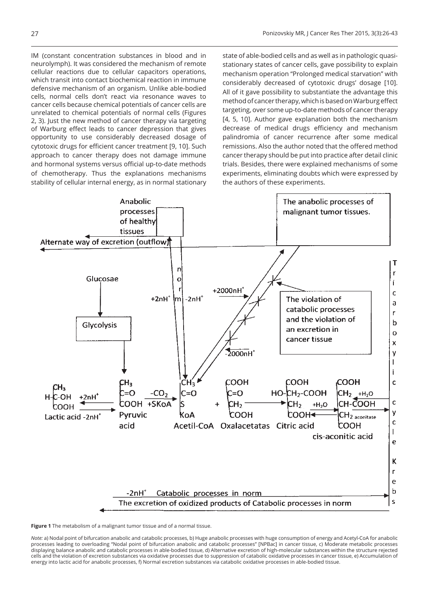IM (constant concentration substances in blood and in neurolymph). It was considered the mechanism of remote cellular reactions due to cellular capacitors operations, which transit into contact biochemical reaction in immune defensive mechanism of an organism. Unlike able-bodied cells, normal cells don't react via resonance waves to cancer cells because chemical potentials of cancer cells are unrelated to chemical potentials of normal cells (Figures 2, 3). Just the new method of cancer therapy via targeting of Warburg effect leads to cancer depression that gives opportunity to use considerably decreased dosage of cytotoxic drugs for efficient cancer treatment [9, 10]. Such approach to cancer therapy does not damage immune and hormonal systems versus official up-to-date methods of chemotherapy. Thus the explanations mechanisms stability of cellular internal energy, as in normal stationary

state of able-bodied cells and as well as in pathologic quasistationary states of cancer cells, gave possibility to explain mechanism operation "Prolonged medical starvation" with considerably decreased of cytotoxic drugs' dosage [10]. All of it gave possibility to substantiate the advantage this method of cancer therapy, which is based on Warburg effect targeting, over some up-to-date methods of cancer therapy [4, 5, 10]. Author gave explanation both the mechanism decrease of medical drugs efficiency and mechanism palindromia of cancer recurrence after some medical remissions. Also the author noted that the offered method cancer therapy should be put into practice after detail clinic trials. Besides, there were explained mechanisms of some experiments, eliminating doubts which were expressed by the authors of these experiments.



**Figure 1** The metabolism of a malignant tumor tissue and of a normal tissue.

*Note:* a) Nodal point of bifurcation anabolic and catabolic processes, b) Huge anabolic processes with huge consumption of energy and Acetyl-CoA for anabolic processes leading to overloading "Nodal point of bifurcation anabolic and catabolic processes" [NPBac] in cancer tissue, c) Moderate metabolic processes displaying balance anabolic and catabolic processes in able-bodied tissue, d) Alternative excretion of high-molecular substances within the structure rejected cells and the violation of excretion substances via oxidative processes due to suppression of catabolic oxidative processes in cancer tissue, e) Accumulation of energy into lactic acid for anabolic processes, f) Normal excretion substances via catabolic oxidative processes in able-bodied tissue.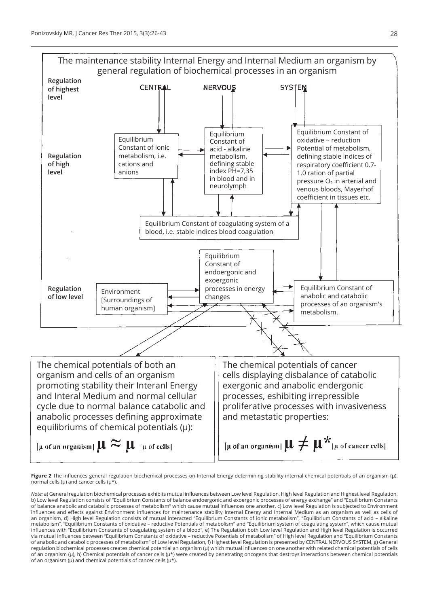

**Figure 2** The influences general regulation biochemical processes on Internal Energy determining stability internal chemical potentials of an organism (µ), normal cells ( $\mu$ ) and cancer cells ( $\mu^*$ ).

*Note:* a) General regulation biochemical processes exhibits mutual influences between Low level Regulation, High level Regulation and Highest level Regulation, b) Low level Regulation consists of "Equilibrium Constants of balance endoergonic and exoergonic processes of energy exchange" and "Equilibrium Constants of balance anabolic and catabolic processes of metabolism" which cause mutual influences one another, c) Low level Regulation is subjected to Environment influences and effects against Environment influences for maintenance stability Internal Energy and Internal Medium as an organism as well as cells of an organism, d) High level Regulation consists of mutual interacted "Equilibrium Constants of ionic metabolism", "Equilibrium Constants of acid – alkaline metabolism", "Equilibrium Constants of oxidative – reductive Potentials of metabolism" and "Equilibrium system of coagulating system", which cause mutual influences with "Equilibrium Constants of coagulating system of a blood", e) The Regulation both Low level Regulation and High level Regulation is occurred via mutual influences between "Equilibrium Constants of oxidative – reductive Potentials of metabolism" of High level Regulation and "Equilibrium Constants of anabolic and catabolic processes of metabolism" of Low level Regulation, f) Highest level Regulation is presented by CENTRAL NERVOUS SYSTEM, g) General regulation biochemical processes creates chemical potential an organism (µ) which mutual influences on one another with related chemical potentials of cells of an organism ( $\mu$ ), h) Chemical potentials of cancer cells ( $\mu^*$ ) were created by penetrating oncogens that destroys interactions between chemical potentials of an organism ( $\mu$ ) and chemical potentials of cancer cells ( $\mu^*$ ).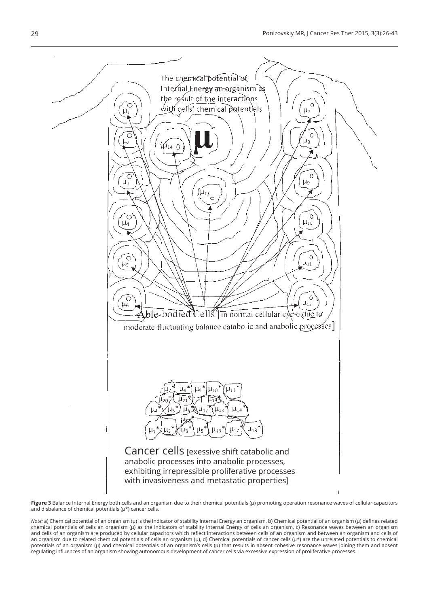

**Figure 3** Balance Internal Energy both cells and an organism due to their chemical potentials (µ) promoting operation resonance waves of cellular capacitors and disbalance of chemical potentials ( $\mu^*$ ) cancer cells.

*Note:* a) Chemical potential of an organism (µ) is the indicator of stability Internal Energy an organism, b) Chemical potential of an organism (µ) defines related chemical potentials of cells an organism (µ) as the indicators of stability Internal Energy of cells an organism, c) Resonance waves between an organism and cells of an organism are produced by cellular capacitors which reflect interactions between cells of an organism and between an organism and cells of an organism due to related chemical potentials of cells an organism (µ), d) Chemical potentials of cancer cells (µ\*) are the unrelated potentials to chemical potentials of an organism (µ) and chemical potentials of an organism's cells (µ) that results in absent cohesive resonance waves joining them and absent regulating influences of an organism showing autonomous development of cancer cells via excessive expression of proliferative processes.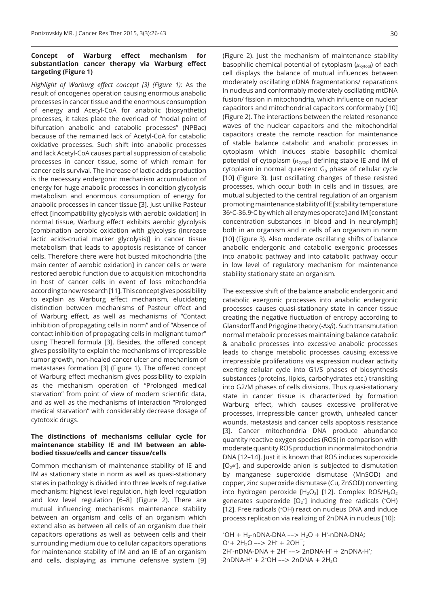## **Concept of Warburg effect mechanism for substantiation cancer therapy via Warburg effect targeting (Figure 1)**

*Highlight of Warburg effect concept [3] (Figure 1):* As the result of oncogenes operation causing enormous anabolic processes in cancer tissue and the enormous consumption of energy and Acetyl-CoA for anabolic (biosynthetic) processes, it takes place the overload of "nodal point of bifurcation anabolic and catabolic processes" (NPBac) because of the remained lack of Acetyl-CoA for catabolic oxidative processes. Such shift into anabolic processes and lack Acetyl-CoA causes partial suppression of catabolic processes in cancer tissue, some of which remain for cancer cells survival. The increase of lactic acids production is the necessary endergonic mechanism accumulation of energy for huge anabolic processes in condition glycolysis metabolism and enormous consumption of energy for anabolic processes in cancer tissue [3]. Just unlike Pasteur effect [Incompatibility glycolysis with aerobic oxidation] in normal tissue, Warburg effect exhibits aerobic glycolysis [combination aerobic oxidation with glycolysis (increase lactic acids-crucial marker glycolysis)] in cancer tissue metabolism that leads to apoptosis resistance of cancer cells. Therefore there were hot busted mitochondria [the main center of aerobic oxidation] in cancer cells or were restored aerobic function due to acquisition mitochondria in host of cancer cells in event of loss mitochondria according to new research [11]. This concept gives possibility to explain as Warburg effect mechanism, elucidating distinction between mechanisms of Pasteur effect and of Warburg effect, as well as mechanisms of "Contact inhibition of propagating cells in norm" and of "Absence of contact inhibition of propagating cells in malignant tumor" using Theorell formula [3]. Besides, the offered concept gives possibility to explain the mechanisms of irrepressible tumor growth, non-healed cancer ulcer and mechanism of metastases formation [3] (Figure 1). The offered concept of Warburg effect mechanism gives possibility to explain as the mechanism operation of "Prolonged medical starvation" from point of view of modern scientific data, and as well as the mechanisms of interaction "Prolonged medical starvation" with considerably decrease dosage of cytotoxic drugs.

## **The distinctions of mechanisms cellular cycle for maintenance stability IE and IM between an ablebodied tissue/cells and cancer tissue/cells**

Common mechanism of maintenance stability of IE and IM as stationary state in norm as well as quasi-stationary states in pathology is divided into three levels of regulative mechanism: highest level regulation, high level regulation and low level regulation [6–8] (Figure 2). There are mutual influencing mechanisms maintenance stability between an organism and cells of an organism which extend also as between all cells of an organism due their capacitors operations as well as between cells and their surrounding medium due to cellular capacitors operations for maintenance stability of IM and an IE of an organism and cells, displaying as immune defensive system [9]

(Figure 2). Just the mechanism of maintenance stability basophilic chemical potential of cytoplasm  $(\mu_{\text{cytop}})$  of each cell displays the balance of mutual influences between moderately oscillating nDNA fragmentations/ reparations in nucleus and conformably moderately oscillating mtDNA fusion/ fission in mitochondria, which influence on nuclear capacitors and mitochondrial capacitors conformably [10] (Figure 2). The interactions between the related resonance waves of the nuclear capacitors and the mitochondrial capacitors create the remote reaction for maintenance of stable balance catabolic and anabolic processes in cytoplasm which induces stable basophilic chemical potential of cytoplasm ( $u_{\text{cytop}}$ ) defining stable IE and IM of cytoplasm in normal quiescent  $G_0$  phase of cellular cycle [10] (Figure 3). Just oscillating changes of these resisted processes, which occur both in cells and in tissues, are

mutual subjected to the central regulation of an organism promoting maintenance stability of IE [stability temperature 36°C-36.9°C by which all enzymes operate] and IM [constant concentration substances in blood and in neurolymph] both in an organism and in cells of an organism in norm [10] (Figure 3). Also moderate oscillating shifts of balance anabolic endergonic and catabolic exergonic processes into anabolic pathway and into catabolic pathway occur in low level of regulatory mechanism for maintenance

stability stationary state an organism.

The excessive shift of the balance anabolic endergonic and catabolic exergonic processes into anabolic endergonic processes causes quasi-stationary state in cancer tissue creating the negative fluctuation of entropy according to Glansdorff and Prigogine theory (-Δxβ). Such transmutation normal metabolic processes maintaining balance catabolic & anabolic processes into excessive anabolic processes leads to change metabolic processes causing excessive irrepressible proliferations via expression nuclear activity exerting cellular cycle into G1/S phases of biosynthesis substances (proteins, lipids, carbohydrates etc.) transiting into G2/M phases of cells divisions. Thus quasi-stationary state in cancer tissue is characterized by formation Warburg effect, which causes excessive proliferative processes, irrepressible cancer growth, unhealed cancer wounds, metastasis and cancer cells apoptosis resistance [3]. Cancer mitochondria DNA produce abundance quantity reactive oxygen species (ROS) in comparison with moderate quantity ROS production in normal mitochondria DNA [12–14]. Just it is known that ROS induces superoxide  $[O_{2^*}]$ , and superoxide anion is subjected to dismutation by manganese superoxide dismutase (MnSOD) and copper, zinc superoxide dismutase (Cu, ZnSOD) converting into hydrogen peroxide  $[H_2O_2]$  [12]. Complex ROS/ $H_2O_2$ generates superoxide  $[O_2^*]$  inducing free radicals (\*OH) [12]. Free radicals ( OH) react on nucleus DNA and induce process replication via realizing of 2nDNA in nucleus [10]:

 $*OH + H_2$ -nDNA-DNA -->  $H_2O + H$ '-nDNA-DNA;  $O^*$  + 2H<sub>2</sub>O --> 2H<sup>+</sup> + 2OH<sup>-</sup>; 2H - nDNA-DNA + 2H · --> 2nDNA-H · + 2nDNA-H ;  $2nDNA-H' + 2<sup>*</sup>OH -- > 2nDNA + 2H<sub>2</sub>O$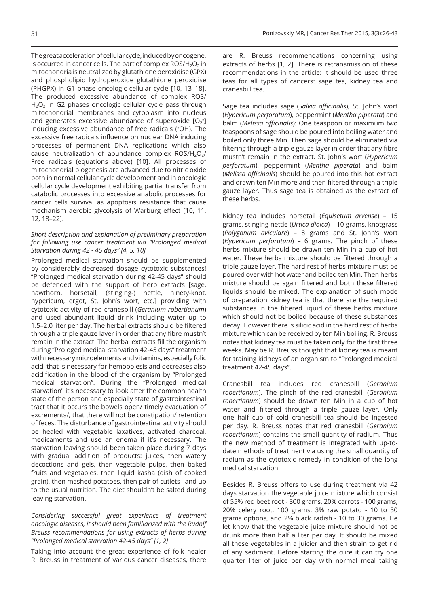The great acceleration of cellular cycle, induced by oncogene, is occurred in cancer cells. The part of complex  $ROS/H<sub>2</sub>O<sub>2</sub>$  in mitochondria is neutralized by glutathione peroxidise (GPX) and phospholipid hydroperoxide glutathione peroxidise (PHGPX) in G1 phase oncologic cellular cycle [10, 13–18]. The produced excessive abundance of complex ROS/  $H<sub>2</sub>O<sub>2</sub>$  in G2 phases oncologic cellular cycle pass through mitochondrial membranes and cytoplasm into nucleus and generates excessive abundance of superoxide  $[O_2^*]$ inducing excessive abundance of free radicals ( OH). The excessive free radicals influence on nuclear DNA inducing processes of permanent DNA replications which also cause neutralization of abundance complex  $ROS/H<sub>2</sub>O<sub>2</sub>/$ Free radicals (equations above) [10]. All processes of mitochondrial biogenesis are advanced due to nitric oxide both in normal cellular cycle development and in oncologic cellular cycle development exhibiting partial transfer from catabolic processes into excessive anabolic processes for cancer cells survival as apoptosis resistance that cause mechanism aerobic glycolysis of Warburg effect [10, 11, 12, 18–22].

## *Short description and explanation of preliminary preparation for following use cancer treatment via "Prolonged medical Starvation during 42 - 45 days" [4, 5, 10]*

Prolonged medical starvation should be supplemented by considerably decreased dosage cytotoxic substances! "Prolonged medical starvation during 42-45 days" should be defended with the support of herb extracts [sage, hawthorn, horsetail, (stinging-) nettle, ninety-knot, hypericum, ergot, St. John's wort, etc.] providing with cytotoxic activity of red cranesbill (*Geranium robertianum*) and used abundant liquid drink including water up to 1.5–2.0 liter per day. The herbal extracts should be filtered through a triple gauze layer in order that any fibre mustn't remain in the extract. The herbal extracts fill the organism during "Prologed medical starvation 42-45 days" treatment with necessary microelements and vitamins, especially folic acid, that is necessary for hemopoiesis and decreases also acidification in the blood of the organism by "Prolonged medical starvation". During the "Prolonged medical starvation" it's necessary to look after the common health state of the person and especially state of gastrointestinal tract that it occurs the bowels open/ timely evacuation of excrements/, that there will not be constipation/ retention of feces. The disturbance of gastrointestinal activity should be healed with vegetable laxatives, activated charcoal, medicaments and use an enema if it's necessary. The starvation leaving should been taken place during 7 days with gradual addition of products: juices, then watery decoctions and gels, then vegetable pulps, then baked fruits and vegetables, then liquid kasha (dish of cooked grain), then mashed potatoes, then pair of cutlets– and up to the usual nutrition. The diet shouldn't be salted during leaving starvation.

## *Considering successful great experience of treatment oncologic diseases, it should been familiarized with the Rudolf Breuss recommendations for using extracts of herbs during "Prolonged medical starvation 42-45 days" [1, 2]*

Taking into account the great experience of folk healer R. Breuss in treatment of various cancer diseases, there

are R. Breuss recommendations concerning using extracts of herbs [1, 2]. There is retransmission of these recommendations in the article: It should be used three teas for all types of cancers: sage tea, kidney tea and cranesbill tea.

Sage tea includes sage (*Salvia officinalis*), St. John's wort (*Hypericum perforatum*), peppermint (*Mentha piperata*) and balm (*Melissa officinalis*): One teaspoon or maximum two teaspoons of sage should be poured into boiling water and boiled only three Min. Then sage should be eliminated via filtering through a triple gauze layer in order that any fibre mustn't remain in the extract. St. John's wort (*Hypericum perforatum*), peppermint (*Mentha piperata*) and balm (*Melissa officinalis*) should be poured into this hot extract and drawn ten Min more and then filtered through a triple gauze layer. Thus sage tea is obtained as the extract of these herbs.

Kidney tea includes horsetail (*Equisetum arvense*) – 15 grams, stinging nettle (*Urtica dioica*) – 10 grams, knotgrass (*Polygonum aviculare*) – 8 grams and St. John's wort (*Hypericum perforatum*) – 6 grams. The pinch of these herbs mixture should be drawn ten Min in a cup of hot water. These herbs mixture should be filtered through a triple gauze layer. The hard rest of herbs mixture must be poured over with hot water and boiled ten Min. Then herbs mixture should be again filtered and both these filtered liquids should be mixed. The explanation of such mode of preparation kidney tea is that there are the required substances in the filtered liquid of these herbs mixture which should not be boiled because of these substances decay. However there is silicic acid in the hard rest of herbs mixture which can be received by ten Min boiling. R. Breuss notes that kidney tea must be taken only for the first three weeks. May be R. Breuss thought that kidney tea is meant for training kidneys of an organism to "Prolonged medical treatment 42-45 days".

Cranesbill tea includes red cranesbill (*Geranium robertianum*). The pinch of the red cranesbill (*Geranium robertianum*) should be drawn ten Min in a cup of hot water and filtered through a triple gauze layer. Only one half cup of cold cranesbill tea should be ingested per day. R. Breuss notes that red cranesbill (*Geranium robertianum*) contains the small quantity of radium. Thus the new method of treatment is integrated with up-todate methods of treatment via using the small quantity of radium as the cytotoxic remedy in condition of the long medical starvation.

Besides R. Breuss offers to use during treatment via 42 days starvation the vegetable juice mixture which consist of 55% red beet root - 300 grams, 20% carrots - 100 grams, 20% celery root, 100 grams, 3% raw potato - 10 to 30 grams options, and 2% black radish - 10 to 30 grams. He let know that the vegetable juice mixture should not be drunk more than half a liter per day. It should be mixed all these vegetables in a juicier and then strain to get rid of any sediment. Before starting the cure it can try one quarter liter of juice per day with normal meal taking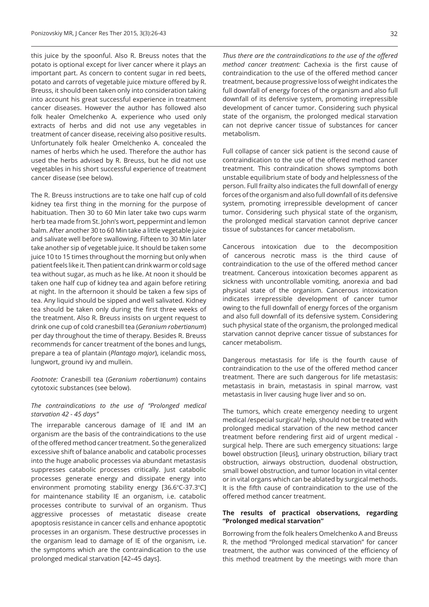this juice by the spoonful. Also R. Breuss notes that the potato is optional except for liver cancer where it plays an important part. As concern to content sugar in red beets, potato and carrots of vegetable juice mixture offered by R. Breuss, it should been taken only into consideration taking into account his great successful experience in treatment cancer diseases. However the author has followed also folk healer Omelchenko A. experience who used only extracts of herbs and did not use any vegetables in treatment of cancer disease, receiving also positive results. Unfortunately folk healer Omelchenko A. concealed the names of herbs which he used. Therefore the author has used the herbs advised by R. Breuss, but he did not use vegetables in his short successful experience of treatment cancer disease (see below).

The R. Breuss instructions are to take one half cup of cold kidney tea first thing in the morning for the purpose of habituation. Then 30 to 60 Min later take two cups warm herb tea made from St. John's wort, peppermint and lemon balm. After another 30 to 60 Min take a little vegetable juice and salivate well before swallowing. Fifteen to 30 Min later take another sip of vegetable juice. It should be taken some juice 10 to 15 times throughout the morning but only when patient feels like it. Then patient can drink warm or cold sage tea without sugar, as much as he like. At noon it should be taken one half cup of kidney tea and again before retiring at night. In the afternoon it should be taken a few sips of tea. Any liquid should be sipped and well salivated. Kidney tea should be taken only during the first three weeks of the treatment. Also R. Breuss insists on urgent request to drink one cup of cold cranesbill tea (*Geranium robertianum*) per day throughout the time of therapy. Besides R. Breuss recommends for cancer treatment of the bones and lungs, prepare a tea of plantain (*Plantago major*), icelandic moss, lungwort, ground ivy and mullein.

*Footnote:* Cranesbill tea (*Geranium robertianum*) contains cytotoxic substances (see below).

## *The contraindications to the use of "Prolonged medical starvation 42 - 45 days"*

The irreparable cancerous damage of IE and IM an organism are the basis of the contraindications to the use of the offered method cancer treatment. So the generalized excessive shift of balance anabolic and catabolic processes into the huge anabolic processes via abundant metastasis suppresses catabolic processes critically. Just catabolic processes generate energy and dissipate energy into environment promoting stability energy  $[36.6^{\circ}C-37.3^{\circ}C]$ for maintenance stability IE an organism, i.e. catabolic processes contribute to survival of an organism. Thus aggressive processes of metastatic disease create apoptosis resistance in cancer cells and enhance apoptotic processes in an organism. These destructive processes in the organism lead to damage of IE of the organism, i.e. the symptoms which are the contraindication to the use prolonged medical starvation [42–45 days].

*Thus there are the contraindications to the use of the offered method cancer treatment:* Cachexia is the first cause of contraindication to the use of the offered method cancer treatment, because progressive loss of weight indicates the full downfall of energy forces of the organism and also full downfall of its defensive system, promoting irrepressible development of cancer tumor. Considering such physical state of the organism, the prolonged medical starvation can not deprive cancer tissue of substances for cancer metabolism.

Full collapse of cancer sick patient is the second cause of contraindication to the use of the offered method cancer treatment. This contraindication shows symptoms both unstable equilibrium state of body and helplessness of the person. Full frailty also indicates the full downfall of energy forces of the organism and also full downfall of its defensive system, promoting irrepressible development of cancer tumor. Considering such physical state of the organism, the prolonged medical starvation cannot deprive cancer tissue of substances for cancer metabolism.

Cancerous intoxication due to the decomposition of cancerous necrotic mass is the third cause of contraindication to the use of the offered method cancer treatment. Cancerous intoxication becomes apparent as sickness with uncontrollable vomiting, anorexia and bad physical state of the organism. Cancerous intoxication indicates irrepressible development of cancer tumor owing to the full downfall of energy forces of the organism and also full downfall of its defensive system. Considering such physical state of the organism, the prolonged medical starvation cannot deprive cancer tissue of substances for cancer metabolism.

Dangerous metastasis for life is the fourth cause of contraindication to the use of the offered method cancer treatment. There are such dangerous for life metastasis: metastasis in brain, metastasis in spinal marrow, vast metastasis in liver causing huge liver and so on.

The tumors, which create emergency needing to urgent medical /especial surgical/ help, should not be treated with prolonged medical starvation of the new method cancer treatment before rendering first aid of urgent medical surgical help. There are such emergency situations: large bowel obstruction [ileus], urinary obstruction, biliary tract obstruction, airways obstruction, duodenal obstruction, small bowel obstruction, and tumor location in vital center or in vital organs which can be ablated by surgical methods. It is the fifth cause of contraindication to the use of the offered method cancer treatment.

## **The results of practical observations, regarding "Prolonged medical starvation"**

Borrowing from the folk healers Omelchenko A and Breuss R. the method "Prolonged medical starvation" for cancer treatment, the author was convinced of the efficiency of this method treatment by the meetings with more than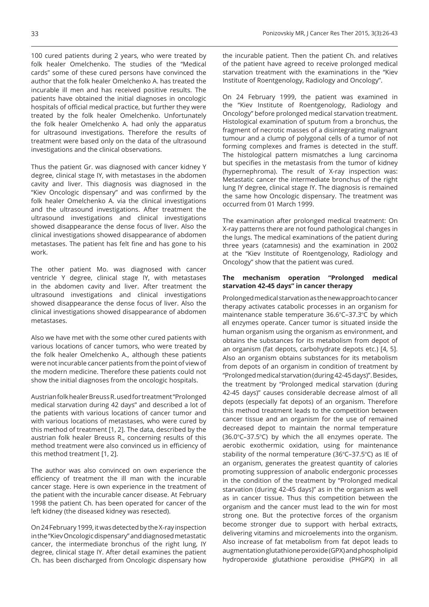100 cured patients during 2 years, who were treated by folk healer Omelchenko. The studies of the "Medical cards" some of these cured persons have convinced the author that the folk healer Omelchenko A. has treated the incurable ill men and has received positive results. The patients have obtained the initial diagnoses in oncologic hospitals of official medical practice, but further they were treated by the folk healer Omelchenko. Unfortunately the folk healer Omelchenko A. had only the apparatus for ultrasound investigations. Therefore the results of treatment were based only on the data of the ultrasound investigations and the clinical observations.

Thus the patient Gr. was diagnosed with cancer kidney Y degree, clinical stage IY, with metastases in the abdomen cavity and liver. This diagnosis was diagnosed in the "Kiev Oncologic dispensary" and was confirmed by the folk healer Omelchenko A. via the clinical investigations and the ultrasound investigations. After treatment the ultrasound investigations and clinical investigations showed disappearance the dense focus of liver. Also the clinical investigations showed disappearance of abdomen metastases. The patient has felt fine and has gone to his work.

The other patient Mo. was diagnosed with cancer ventricle Y degree, clinical stage IY, with metastases in the abdomen cavity and liver. After treatment the ultrasound investigations and clinical investigations showed disappearance the dense focus of liver. Also the clinical investigations showed disappearance of abdomen metastases.

Also we have met with the some other cured patients with various locations of cancer tumors, who were treated by the folk healer Omelchenko A., although these patients were not incurable cancer patients from the point of view of the modern medicine. Therefore these patients could not show the initial diagnoses from the oncologic hospitals.

Austrian folk healer Breuss R. used for treatment "Prolonged medical starvation during 42 days" and described a lot of the patients with various locations of cancer tumor and with various locations of metastases, who were cured by this method of treatment [1, 2]. The data, described by the austrian folk healer Breuss R., concerning results of this method treatment were also convinced us in efficiency of this method treatment [1, 2].

The author was also convinced on own experience the efficiency of treatment the ill man with the incurable cancer stage. Here is own experience in the treatment of the patient with the incurable cancer disease. At February 1998 the patient Ch. has been operated for cancer of the left kidney (the diseased kidney was resected).

On 24 February 1999, it was detected by the X-ray inspection in the "Kiev Oncologic dispensary" and diagnosed metastatic cancer, the intermediate bronchus of the right lung, IY degree, clinical stage IY. After detail examines the patient Ch. has been discharged from Oncologic dispensary how

the incurable patient. Then the patient Ch. and relatives of the patient have agreed to receive prolonged medical starvation treatment with the examinations in the "Kiev Institute of Roentgenology, Radiology and Oncology".

On 24 February 1999, the patient was examined in the "Kiev Institute of Roentgenology, Radiology and Oncology" before prolonged medical starvation treatment. Histological examination of sputum from a bronchus, the fragment of necrotic masses of a disintegrating malignant tumour and a clump of polygonal cells of a tumor of not forming complexes and frames is detected in the stuff. The histological pattern mismatches a lung carcinoma but specifies in the metastasis from the tumor of kidney (hypernephroma). The result of X-ray inspection was: Metastatic cancer the intermediate bronchus of the right lung IY degree, clinical stage IY. The diagnosis is remained the same how Oncologic dispensary. The treatment was occurred from 01 March 1999.

The examination after prolonged medical treatment: On X-ray patterns there are not found pathological changes in the lungs. The medical examinations of the patient during three years (catamnesis) and the examination in 2002 at the "Kiev Institute of Roentgenology, Radiology and Oncology" show that the patient was cured.

#### **The mechanism operation "Prolonged medical starvation 42-45 days" in cancer therapy**

Prolonged medical starvation as the new approach to cancer therapy activates catabolic processes in an organism for maintenance stable temperature 36.6°C-37.3°C by which all enzymes operate. Cancer tumor is situated inside the human organism using the organism as environment, and obtains the substances for its metabolism from depot of an organism (fat depots, carbohydrate depots etc.) [4, 5]. Also an organism obtains substances for its metabolism from depots of an organism in condition of treatment by "Prolonged medical starvation (during 42-45 days)". Besides, the treatment by "Prolonged medical starvation (during 42-45 days)" causes considerable decrease almost of all depots (especially fat depots) of an organism. Therefore this method treatment leads to the competition between cancer tissue and an organism for the use of remained decreased depot to maintain the normal temperature  $(36.0^{\circ}C - 37.5^{\circ}C)$  by which the all enzymes operate. The aerobic exothermic oxidation, using for maintenance stability of the normal temperature  $(36^{\circ}C - 37.5^{\circ}C)$  as IE of an organism, generates the greatest quantity of calories promoting suppression of anabolic endergonic processes in the condition of the treatment by "Prolonged medical starvation (during 42-45 days)" as in the organism as well as in cancer tissue. Thus this competition between the organism and the cancer must lead to the win for most strong one. But the protective forces of the organism become stronger due to support with herbal extracts, delivering vitamins and microelements into the organism. Also increase of fat metabolism from fat depot leads to augmentation glutathione peroxide (GPX) and phospholipid hydroperoxide glutathione peroxidise (PHGPX) in all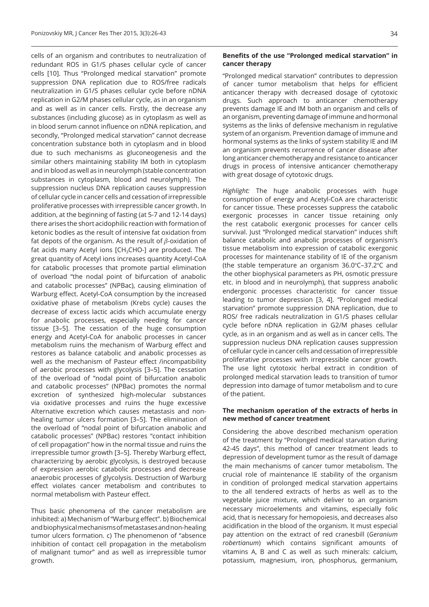cells of an organism and contributes to neutralization of redundant ROS in G1/S phases cellular cycle of cancer cells [10]. Thus "Prolonged medical starvation" promote suppression DNA replication due to ROS/free radicals neutralization in G1/S phases cellular cycle before nDNA replication in G2/M phases cellular cycle, as in an organism and as well as in cancer cells. Firstly, the decrease any substances (including glucose) as in cytoplasm as well as in blood serum cannot influence on nDNA replication, and secondly, "Prolonged medical starvation" cannot decrease concentration substance both in cytoplasm and in blood due to such mechanisms as gluconeogenesis and the similar others maintaining stability IM both in cytoplasm and in blood as well as in neurolymph (stable concentration substances in cytoplasm, blood and neurolymph). The suppression nucleus DNA replication causes suppression of cellular cycle in cancer cells and cessation of irrepressible proliferative processes with irrepressible cancer growth. In addition, at the beginning of fasting (at 5-7 and 12-14 days) there arises the short acidophilic reaction with formation of ketonic bodies as the result of intensive fat oxidation from fat depots of the organism. As the result of  $\beta$ -oxidation of fat acids many Acetyl ions  $[CH<sub>3</sub>CHO-]$  are produced. The great quantity of Acetyl ions increases quantity Acetyl-CoA for catabolic processes that promote partial elimination of overload "the nodal point of bifurcation of anabolic and catabolic processes" (NPBac), causing elimination of Warburg effect. Acetyl-CoA consumption by the increased oxidative phase of metabolism (Krebs cycle) causes the decrease of excess lactic acids which accumulate energy for anabolic processes, especially needing for cancer tissue [3–5]. The cessation of the huge consumption energy and Acetyl-CoA for anabolic processes in cancer metabolism ruins the mechanism of Warburg effect and restores as balance catabolic and anabolic processes as well as the mechanism of Pasteur effect /incompatibility of aerobic processes with glycolysis [3–5]. The cessation of the overload of "nodal point of bifurcation anabolic and catabolic processes" (NPBac) promotes the normal excretion of synthesized high-molecular substances via oxidative processes and ruins the huge excessive Alternative excretion which causes metastasis and nonhealing tumor ulcers formation [3–5]. The elimination of the overload of "nodal point of bifurcation anabolic and catabolic processes" (NPBac) restores "contact inhibition of cell propagation" how in the normal tissue and ruins the irrepressible tumor growth [3–5]. Thereby Warburg effect, characterizing by aerobic glycolysis, is destroyed because of expression aerobic catabolic processes and decrease anaerobic processes of glycolysis. Destruction of Warburg effect violates cancer metabolism and contributes to normal metabolism with Pasteur effect.

Thus basic phenomena of the cancer metabolism are inhibited: a) Mechanism of "Warburg effect". b) Biochemical and biophysical mechanisms of metastases and non-healing tumor ulcers formation. c) The phenomenon of "absence inhibition of contact cell propagation in the metabolism of malignant tumor" and as well as irrepressible tumor growth.

#### 34

## **Benefits of the use "Prolonged medical starvation" in cancer therapy**

"Prolonged medical starvation" contributes to depression of cancer tumor metabolism that helps for efficient anticancer therapy with decreased dosage of cytotoxic drugs. Such approach to anticancer chemotherapy prevents damage IE and IM both an organism and cells of an organism, preventing damage of immune and hormonal systems as the links of defensive mechanism in regulative system of an organism. Prevention damage of immune and hormonal systems as the links of system stability IE and IM an organism prevents recurrence of cancer disease after long anticancer chemotherapy and resistance to anticancer drugs in process of intensive anticancer chemotherapy with great dosage of cytotoxic drugs.

*Highlight:* The huge anabolic processes with huge consumption of energy and Acetyl-CoA are characteristic for cancer tissue. These processes suppress the catabolic exergonic processes in cancer tissue retaining only the rest catabolic exergonic processes for cancer cells survival. Just "Prolonged medical starvation" induces shift balance catabolic and anabolic processes of organism's tissue metabolism into expression of catabolic exergonic processes for maintenance stability of IE of the organism (the stable temperature an organism  $36.0^{\circ}$ C-37.2 $^{\circ}$ C and the other biophysical parameters as PH, osmotic pressure etc. in blood and in neurolymph), that suppress anabolic endergonic processes characteristic for cancer tissue leading to tumor depression [3, 4]. "Prolonged medical starvation" promote suppression DNA replication, due to ROS/ free radicals neutralization in G1/S phases cellular cycle before nDNA replication in G2/M phases cellular cycle, as in an organism and as well as in cancer cells. The suppression nucleus DNA replication causes suppression of cellular cycle in cancer cells and cessation of irrepressible proliferative processes with irrepressible cancer growth. The use light cytotoxic herbal extract in condition of prolonged medical starvation leads to transition of tumor depression into damage of tumor metabolism and to cure of the patient.

## **The mechanism operation of the extracts of herbs in new method of cancer treatment**

Considering the above described mechanism operation of the treatment by "Prolonged medical starvation during 42-45 days", this method of cancer treatment leads to depression of development tumor as the result of damage the main mechanisms of cancer tumor metabolism. The crucial role of maintenance IE stability of the organism in condition of prolonged medical starvation appertains to the all tendered extracts of herbs as well as to the vegetable juice mixture, which deliver to an organism necessary microelements and vitamins, especially folic acid, that is necessary for hemopoiesis, and decreases also acidification in the blood of the organism. It must especial pay attention on the extract of red cranesbill (*Geranium robertianum*) which contains significant amounts of vitamins A, B and C as well as such minerals: calcium, potassium, magnesium, iron, phosphorus, germanium,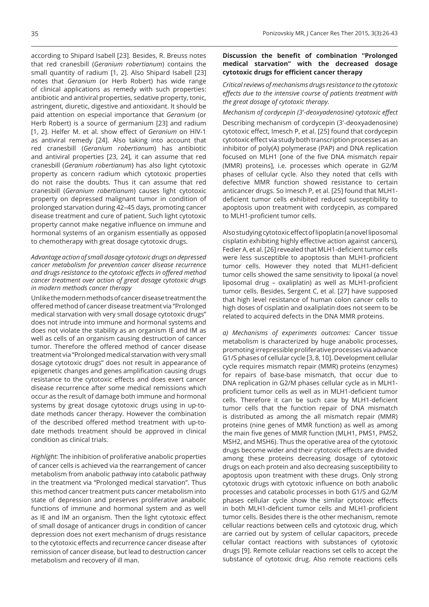according to Shipard Isabell [23]. Besides, R. Breuss notes that red cranesbill (*Geranium robertianum*) contains the small quantity of radium [1, 2]. Also Shipard Isabell [23] notes that *Geranium* (or Herb Robert) has wide range of clinical applications as remedy with such properties: antibiotic and antiviral properties, sedative property, tonic, astringent, diuretic, digestive and antioxidant. It should be paid attention on especial importance that *Geranium* (or Herb Robert) is a source of germanium [23] and radium [1, 2]. Helfer M. et al. show effect of *Geranium* on HIV-1 as antiviral remedy [24]. Also taking into account that red cranesbill (*Geranium robertianum*) has antibiotic and antiviral properties [23, 24], it can assume that red cranesbill (*Geranium robertianum*) has also light cytotoxic property as concern radium which cytotoxic properties do not raise the doubts. Thus it can assume that red cranesbill (*Geranium robertianum*) causes light cytotoxic property on depressed malignant tumor in condition of prolonged starvation during 42–45 days, promoting cancer disease treatment and cure of patient. Such light cytotoxic property cannot make negative influence on immune and hormonal systems of an organism essentially as opposed to chemotherapy with great dosage cytotoxic drugs.

### *Advantage action of small dosage cytotoxic drugs on depressed cancer metabolism for prevention cancer disease recurrence and drugs resistance to the cytotoxic effects in offered method cancer treatment over action of great dosage cytotoxic drugs in modern methods cancer therapy*

Unlike the modern methods of cancer disease treatment the offered method of cancer disease treatment via "Prolonged medical starvation with very small dosage cytotoxic drugs" does not intrude into immune and hormonal systems and does not violate the stability as an organism IE and IM as well as cells of an organism causing destruction of cancer tumor. Therefore the offered method of cancer disease treatment via "Prolonged medical starvation with very small dosage cytotoxic drugs" does not result in appearance of epigenetic changes and genes amplification causing drugs resistance to the cytotoxic effects and does exert cancer disease recurrence after some medical remissions which occur as the result of damage both immune and hormonal systems by great dosage cytotoxic drugs using in up-todate methods cancer therapy. However the combination of the described offered method treatment with up-todate methods treatment should be approved in clinical condition as clinical trials.

*Highlight:* The inhibition of proliferative anabolic properties of cancer cells is achieved via the rearrangement of cancer metabolism from anabolic pathway into catabolic pathway in the treatment via "Prolonged medical starvation". Thus this method cancer treatment puts cancer metabolism into state of depression and preserves proliferative anabolic functions of immune and hormonal system and as well as IE and IM an organism. Then the light cytotoxic effect of small dosage of anticancer drugs in condition of cancer depression does not exert mechanism of drugs resistance to the cytotoxic effects and recurrence cancer disease after remission of cancer disease, but lead to destruction cancer metabolism and recovery of ill man.

## **Discussion the benefit of combination "Prolonged medical starvation" with the decreased dosage cytotoxic drugs for efficient cancer therapy**

*Critical reviews of mechanisms drugs resistance to the cytotoxic effects due to the intensive course of patients treatment with the great dosage of cytotoxic therapy.*

#### *Mechanism of cordycepin (3'-deoxyadenosine) cytotoxic effect*

Describing mechanism of cordycepin (3'-deoxyadenosine) cytotoxic effect, Imesch P, et al. [25] found that cordycepin cytotoxic effect via study both transcription processes as an inhibitor of poly(A) polymerase (PAP) and DNA replication focused on MLH1 [one of the five DNA mismatch repair (MMR) proteins], i.e. processes which operate in G2/M phases of cellular cycle. Also they noted that cells with defective MMR function showed resistance to certain anticancer drugs. So Imesch P, et al. [25] found that MLH1 deficient tumor cells exhibited reduced susceptibility to apoptosis upon treatment with cordycepin, as compared to MLH1-proficient tumor cells.

Also studying cytotoxic effect of lipoplatin (a novel liposomal cisplatin exhibiting highly effective action against cancers), Fedier A, et al. [26] revealed that MLH1-deficient tumor cells were less susceptible to apoptosis than MLH1-proficient tumor cells. However they noted that MLH1-deficient tumor cells showed the same sensitivity to lipoxal (a novel liposomal drug – oxaliplatin) as well as MLH1-proficient tumor cells. Besides, Sergent C, et al. [27] have supposed that high level resistance of human colon cancer cells to high doses of cisplatin and oxaliplatin does not seem to be related to acquired defects in the DNA MMR proteins.

*a) Mechanisms of experiments outcomes:* Cancer tissue metabolism is characterized by huge anabolic processes, promoting irrepressible proliferative processes via advance G1/S phases of cellular cycle [3, 8, 10]. Development cellular cycle requires mismatch repair (MMR) proteins (enzymes) for repairs of base-base mismatch, that occur due to DNA replication in G2/M phases cellular cycle as in MLH1 proficient tumor cells as well as in MLH1-deficient tumor cells. Therefore it can be such case by MLH1-deficient tumor cells that the function repair of DNA mismatch is distributed as among the all mismatch repair (MMR) proteins (nine genes of MMR function) as well as among the main five genes of MMR function (MLH1, PMS1, PMS2, MSH2, and MSH6). Thus the operative area of the cytotoxic drugs become wider and their cytotoxic effects are divided among these proteins decreasing dosage of cytotoxic drugs on each protein and also decreasing susceptibility to apoptosis upon treatment with these drugs. Only strong cytotoxic drugs with cytotoxic influence on both anabolic processes and catabolic processes in both G1/S and G2/M phases cellular cycle show the similar cytotoxic effects in both MLH1-deficient tumor cells and MLH1-proficient tumor cells. Besides there is the other mechanism, remote cellular reactions between cells and cytotoxic drug, which are carried out by system of cellular capacitors, precede cellular contact reactions with substances of cytotoxic drugs [9]. Remote cellular reactions set cells to accept the substance of cytotoxic drug. Also remote reactions cells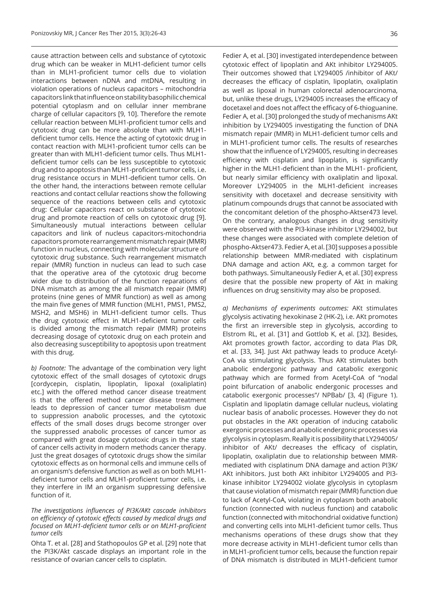cause attraction between cells and substance of cytotoxic drug which can be weaker in MLH1-deficient tumor cells than in MLH1-proficient tumor cells due to violation interactions between nDNA and mtDNA, resulting in violation operations of nucleus capacitors – mitochondria capacitors link that influence on stability basophilic chemical potential cytoplasm and on cellular inner membrane charge of cellular capacitors [9, 10]. Therefore the remote cellular reaction between MLH1-proficient tumor cells and cytotoxic drug can be more absolute than with MLH1 deficient tumor cells. Hence the acting of cytotoxic drug in contact reaction with MLH1-proficient tumor cells can be greater than with MLH1-deficient tumor cells. Thus MLH1 deficient tumor cells can be less susceptible to cytotoxic drug and to apoptosis than MLH1-proficient tumor cells, i.e. drug resistance occurs in MLH1-deficient tumor cells. On the other hand, the interactions between remote cellular reactions and contact cellular reactions show the following sequence of the reactions between cells and cytotoxic drug: Cellular capacitors react on substance of cytotoxic drug and promote reaction of cells on cytotoxic drug [9]. Simultaneously mutual interactions between cellular capacitors and link of nucleus capacitors-mitochondria capacitors promote rearrangement mismatch repair (MMR) function in nucleus, connecting with molecular structure of cytotoxic drug substance. Such rearrangement mismatch repair (MMR) function in nucleus can lead to such case that the operative area of the cytotoxic drug become wider due to distribution of the function reparations of DNA mismatch as among the all mismatch repair (MMR) proteins (nine genes of MMR function) as well as among the main five genes of MMR function (MLH1, PMS1, PMS2, MSH2, and MSH6) in MLH1-deficient tumor cells. Thus the drug cytotoxic effect in MLH1-deficient tumor cells is divided among the mismatch repair (MMR) proteins decreasing dosage of cytotoxic drug on each protein and also decreasing susceptibility to apoptosis upon treatment with this drug.

*b) Footnote:* The advantage of the combination very light cytotoxic effect of the small dosages of cytotoxic drugs [cordycepin, cisplatin, lipoplatin, lipoxal (oxaliplatin) etc.] with the offered method cancer disease treatment is that the offered method cancer disease treatment leads to depression of cancer tumor metabolism due to suppression anabolic processes, and the cytotoxic effects of the small doses drugs become stronger over the suppressed anabolic processes of cancer tumor as compared with great dosage cytotoxic drugs in the state of cancer cells activity in modern methods cancer therapy. Just the great dosages of cytotoxic drugs show the similar cytotoxic effects as on hormonal cells and immune cells of an organism's defensive function as well as on both MLH1 deficient tumor cells and MLH1-proficient tumor cells, i.e. they interfere in IM an organism suppressing defensive function of it.

#### *The investigations influences of PI3K/AKt cascade inhibitors on efficiency of cytotoxic effects caused by medical drugs and focused on MLH1-deficient tumor cells or on MLH1-proficient tumor cells*

Ohta T. et al. [28] and Stathopoulos GP et al. [29] note that the PI3K/Akt cascade displays an important role in the resistance of ovarian cancer cells to cisplatin.

Fedier A, et al. [30] investigated interdependence between cytotoxic effect of lipoplatin and AKt inhibitor LY294005. Their outcomes showed that LY294005 /inhibitor of AKt/ decreases the efficacy of cisplatin, lipoplatin, oxaliplatin as well as lipoxal in human colorectal adenocarcinoma, but, unlike these drugs, LY294005 increases the efficacy of docetaxel and does not affect the efficacy of 6-thioguanine. Fedier A, et al. [30] prolonged the study of mechanisms AKt inhibition by LY294005 investigating the function of DNA mismatch repair (MMR) in MLH1-deficient tumor cells and in MLH1-proficient tumor cells. The results of researches show that the influence of LY294005, resulting in decreases efficiency with cisplatin and lipoplatin, is significantly higher in the MLH1-deficient than in the MLH1- proficient, but nearly similar efficiency with oxaliplatin and lipoxal. Moreover LY294005 in the MLH1-deficient increases sensitivity with docetaxel and decrease sensitivity with platinum compounds drugs that cannot be associated with the concomitant deletion of the phospho-Aktser473 level. On the contrary, analogous changes in drug sensitivity were observed with the PI3-kinase inhibitor LY294002, but these changes were associated with complete deletion of phospho-Aktser473. Fedier A, et al. [30] supposes a possible relationship between MMR-mediated with cisplatinum DNA damage and action AKt, e.g. a common target for both pathways. Simultaneously Fedier A, et al. [30] express desire that the possible new property of Akt in making influences on drug sensitivity may also be proposed.

*a) Mechanisms of experiments outcomes:* AKt stimulates glycolysis activating hexokinase 2 (HK-2), i.e. AKt promotes the first an irreversible step in glycolysis, according to Elstrom RL, et al. [31] and Gottlob K, et al. [32]. Besides, Akt promotes growth factor, according to data Plas DR, et al. [33, 34]. Just Akt pathway leads to produce Acetyl-CoA via stimulating glycolysis. Thus AKt stimulates both anabolic endergonic pathway and catabolic exergonic pathway which are formed from Acetyl-CoA of "nodal point bifurcation of anabolic endergonic processes and catabolic exergonic processes"/ NPBab/ [3, 4] (Figure 1). Cisplatin and lipoplatin damage cellular nucleus, violating nuclear basis of anabolic processes. However they do not put obstacles in the AKt operation of inducing catabolic exergonic processes and anabolic endergonic processes via glycolysis in cytoplasm. Really it is possibility that LY294005/ inhibitor of AKt/ decreases the efficacy of cisplatin, lipoplatin, oxaliplatin due to relationship between MMRmediated with cisplatinum DNA damage and action PI3K/ AKt inhibitors. Just both AKt inhibitor LY294005 and PI3 kinase inhibitor LY294002 violate glycolysis in cytoplasm that cause violation of mismatch repair (MMR) function due to lack of Acetyl-CoA, violating in cytoplasm both anabolic function (connected with nucleus function) and catabolic function (connected with mitochondrial oxidative function) and converting cells into MLH1-deficient tumor cells. Thus mechanisms operations of these drugs show that they more decrease activity in MLH1-deficient tumor cells than in MLH1-proficient tumor cells, because the function repair of DNA mismatch is distributed in MLH1-deficient tumor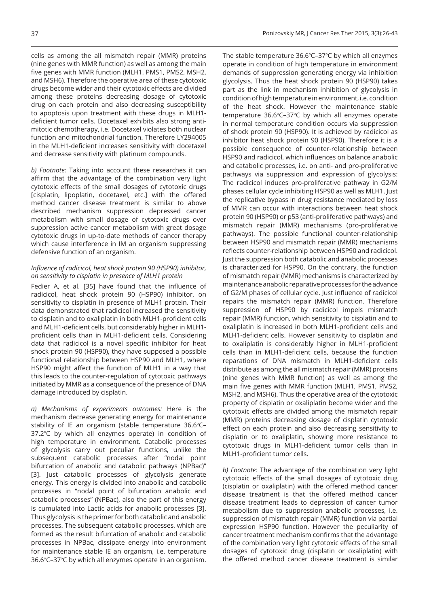cells as among the all mismatch repair (MMR) proteins (nine genes with MMR function) as well as among the main five genes with MMR function (MLH1, PMS1, PMS2, MSH2, and MSH6). Therefore the operative area of these cytotoxic drugs become wider and their cytotoxic effects are divided among these proteins decreasing dosage of cytotoxic drug on each protein and also decreasing susceptibility to apoptosis upon treatment with these drugs in MLH1 deficient tumor cells. Docetaxel exhibits also strong antimitotic chemotherapy, i.e. Docetaxel violates both nuclear function and mitochondrial function. Therefore LY294005 in the MLH1-deficient increases sensitivity with docetaxel and decrease sensitivity with platinum compounds.

*b) Footnote:* Taking into account these researches it can affirm that the advantage of the combination very light cytotoxic effects of the small dosages of cytotoxic drugs [cisplatin, lipoplatin, docetaxel, etc.] with the offered method cancer disease treatment is similar to above described mechanism suppression depressed cancer metabolism with small dosage of cytotoxic drugs over suppression active cancer metabolism with great dosage cytotoxic drugs in up-to-date methods of cancer therapy which cause interference in IM an organism suppressing defensive function of an organism.

## *Influence of radicicol, heat shock protein 90 (HSP90) inhibitor, on sensitivity to cisplatin in presence of MLH1 protein*

Fedier A, et al. [35] have found that the influence of radicicol, heat shock protein 90 (HSP90) inhibitor, on sensitivity to cisplatin in presence of MLH1 protein. Their data demonstrated that radicicol increased the sensitivity to cisplatin and to oxaliplatin in both MLH1-proficient cells and MLH1-deficient cells, but considerably higher in MLH1 proficient cells than in MLH1-deficient cells. Considering data that radicicol is a novel specific inhibitor for heat shock protein 90 (HSP90), they have supposed a possible functional relationship between HSP90 and MLH1, where HSP90 might affect the function of MLH1 in a way that this leads to the counter-regulation of cytotoxic pathways initiated by MMR as a consequence of the presence of DNA damage introduced by cisplatin.

*a) Mechanisms of experiments outcomes:* Here is the mechanism decrease generating energy for maintenance stability of IE an organism (stable temperature 36.6°C-37.2℃ by which all enzymes operate) in condition of high temperature in environment. Catabolic processes of glycolysis carry out peculiar functions, unlike the subsequent catabolic processes after "nodal point bifurcation of anabolic and catabolic pathways (NPBac)" [3]. Just catabolic processes of glycolysis generate energy. This energy is divided into anabolic and catabolic processes in "nodal point of bifurcation anabolic and catabolic processes" (NPBac), also the part of this energy is cumulated into Lactic acids for anabolic processes [3]. Thus glycolysis is the primer for both catabolic and anabolic processes. The subsequent catabolic processes, which are formed as the result bifurcation of anabolic and catabolic processes in NPBac, dissipate energy into environment for maintenance stable IE an organism, i.e. temperature 36.6°C-37°C by which all enzymes operate in an organism.

The stable temperature  $36.6^{\circ}$ C-37 $^{\circ}$ C by which all enzymes operate in condition of high temperature in environment demands of suppression generating energy via inhibition glycolysis. Thus the heat shock protein 90 (HSP90) takes part as the link in mechanism inhibition of glycolysis in condition of high temperature in environment, i.e. condition of the heat shock. However the maintenance stable temperature  $36.6^{\circ}$ C-37 $^{\circ}$ C by which all enzymes operate in normal temperature condition occurs via suppression of shock protein 90 (HSP90). It is achieved by radicicol as inhibitor heat shock protein 90 (HSP90). Therefore it is a possible consequence of counter-relationship between HSP90 and radicicol, which influences on balance anabolic and catabolic processes, i.e. on anti- and pro-proliferative pathways via suppression and expression of glycolysis: The radicicol induces pro-proliferative pathway in G2/M phases cellular cycle inhibiting HSP90 as well as MLH1. Just the replicative bypass in drug resistance mediated by loss of MMR can occur with interactions between heat shock protein 90 (HSP90) or p53 (anti-proliferative pathways) and mismatch repair (MMR) mechanisms (pro-proliferative pathways). The possible functional counter-relationship between HSP90 and mismatch repair (MMR) mechanisms reflects counter-relationship between HSP90 and radicicol. Just the suppression both catabolic and anabolic processes is characterized for HSP90. On the contrary, the function of mismatch repair (MMR) mechanisms is characterized by maintenance anabolic reparative processes for the advance of G2/M phases of cellular cycle. Just influence of radicicol repairs the mismatch repair (MMR) function. Therefore suppression of HSP90 by radicicol impels mismatch repair (MMR) function, which sensitivity to cisplatin and to oxaliplatin is increased in both MLH1-proficient cells and MLH1-deficient cells. However sensitivity to cisplatin and to oxaliplatin is considerably higher in MLH1-proficient cells than in MLH1-deficient cells, because the function reparations of DNA mismatch in MLH1-deficient cells distribute as among the all mismatch repair (MMR) proteins (nine genes with MMR function) as well as among the main five genes with MMR function (MLH1, PMS1, PMS2, MSH2, and MSH6). Thus the operative area of the cytotoxic property of cisplatin or oxaliplatin become wider and the cytotoxic effects are divided among the mismatch repair (MMR) proteins decreasing dosage of cisplatin cytotoxic effect on each protein and also decreasing sensitivity to cisplatin or to oxaliplatin, showing more resistance to cytotoxic drugs in MLH1-deficient tumor cells than in MLH1-proficient tumor cells.

*b) Footnote:* The advantage of the combination very light cytotoxic effects of the small dosages of cytotoxic drug (cisplatin or oxaliplatin) with the offered method cancer disease treatment is that the offered method cancer disease treatment leads to depression of cancer tumor metabolism due to suppression anabolic processes, i.e. suppression of mismatch repair (MMR) function via partial expression HSP90 function. However the peculiarity of cancer treatment mechanism confirms that the advantage of the combination very light cytotoxic effects of the small dosages of cytotoxic drug (cisplatin or oxaliplatin) with the offered method cancer disease treatment is similar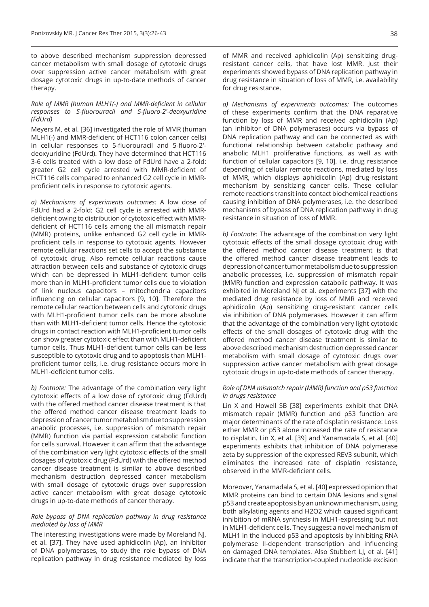to above described mechanism suppression depressed cancer metabolism with small dosage of cytotoxic drugs over suppression active cancer metabolism with great dosage cytotoxic drugs in up-to-date methods of cancer therapy.

#### *Role of MMR (human MLH1(-) and MMR-deficient in cellular responses to 5-fluorouracil and 5-fluoro-2'-deoxyuridine (FdUrd)*

Meyers M, et al. [36] investigated the role of MMR (human MLH1(-) and MMR-deficient of HCT116 colon cancer cells) in cellular responses to 5-fluorouracil and 5-fluoro-2' deoxyuridine (FdUrd). They have determined that HCT116 3-6 cells treated with a low dose of FdUrd have a 2-fold: greater G2 cell cycle arrested with MMR-deficient of HCT116 cells compared to enhanced G2 cell cycle in MMRproficient cells in response to cytotoxic agents.

*a) Mechanisms of experiments outcomes:* A low dose of FdUrd had a 2-fold: G2 cell cycle is arrested with MMRdeficient owing to distribution of cytotoxic effect with MMRdeficient of HCT116 cells among the all mismatch repair (MMR) proteins, unlike enhanced G2 cell cycle in MMRproficient cells in response to cytotoxic agents. However remote cellular reactions set cells to accept the substance of cytotoxic drug. Also remote cellular reactions cause attraction between cells and substance of cytotoxic drugs which can be depressed in MLH1-deficient tumor cells more than in MLH1-proficient tumor cells due to violation of link nucleus capacitors – mitochondria capacitors influencing on cellular capacitors [9, 10]. Therefore the remote cellular reaction between cells and cytotoxic drugs with MLH1-proficient tumor cells can be more absolute than with MLH1-deficient tumor cells. Hence the cytotoxic drugs in contact reaction with MLH1-proficient tumor cells can show greater cytotoxic effect than with MLH1-deficient tumor cells. Thus MLH1-deficient tumor cells can be less susceptible to cytotoxic drug and to apoptosis than MLH1 proficient tumor cells, i.e. drug resistance occurs more in MLH1-deficient tumor cells.

*b) Footnote:* The advantage of the combination very light cytotoxic effects of a low dose of cytotoxic drug (FdUrd) with the offered method cancer disease treatment is that the offered method cancer disease treatment leads to depression of cancer tumor metabolism due to suppression anabolic processes, i.e. suppression of mismatch repair (MMR) function via partial expression catabolic function for cells survival. However it can affirm that the advantage of the combination very light cytotoxic effects of the small dosages of cytotoxic drug (FdUrd) with the offered method cancer disease treatment is similar to above described mechanism destruction depressed cancer metabolism with small dosage of cytotoxic drugs over suppression active cancer metabolism with great dosage cytotoxic drugs in up-to-date methods of cancer therapy.

#### *Role bypass of DNA replication pathway in drug resistance mediated by loss of MMR*

The interesting investigations were made by Moreland NJ, et al. [37]. They have used aphidicolin (Ap), an inhibitor of DNA polymerases, to study the role bypass of DNA replication pathway in drug resistance mediated by loss of MMR and received aphidicolin (Ap) sensitizing drugresistant cancer cells, that have lost MMR. Just their experiments showed bypass of DNA replication pathway in drug resistance in situation of loss of MMR, i.e. availability for drug resistance.

*a) Mechanisms of experiments outcomes:* The outcomes of these experiments confirm that the DNA reparative function by loss of MMR and received aphidicolin (Ap) (an inhibitor of DNA polymerases) occurs via bypass of DNA replication pathway and can be connected as with functional relationship between catabolic pathway and anabolic MLH1 proliferative functions, as well as with function of cellular capacitors [9, 10], i.e. drug resistance depending of cellular remote reactions, mediated by loss of MMR, which displays aphidicolin (Ap) drug-resistant mechanism by sensitizing cancer cells. These cellular remote reactions transit into contact biochemical reactions causing inhibition of DNA polymerases, i.e. the described mechanisms of bypass of DNA replication pathway in drug resistance in situation of loss of MMR.

*b) Footnote:* The advantage of the combination very light cytotoxic effects of the small dosage cytotoxic drug with the offered method cancer disease treatment is that the offered method cancer disease treatment leads to depression of cancer tumor metabolism due to suppression anabolic processes, i.e. suppression of mismatch repair (MMR) function and expression catabolic pathway. It was exhibited in Moreland NJ et al. experiments [37] with the mediated drug resistance by loss of MMR and received aphidicolin (Ap) sensitizing drug-resistant cancer cells via inhibition of DNA polymerases. However it can affirm that the advantage of the combination very light cytotoxic effects of the small dosages of cytotoxic drug with the offered method cancer disease treatment is similar to above described mechanism destruction depressed cancer metabolism with small dosage of cytotoxic drugs over suppression active cancer metabolism with great dosage cytotoxic drugs in up-to-date methods of cancer therapy.

#### *Role of DNA mismatch repair (MMR) function and p53 function in drugs resistance*

Lin X and Howell SB [38] experiments exhibit that DNA mismatch repair (MMR) function and p53 function are major determinants of the rate of cisplatin resistance: Loss either MMR or p53 alone increased the rate of resistance to cisplatin. Lin X, et al. [39] and Yanamadala S, et al. [40] experiments exhibits that inhibition of DNA polymerase zeta by suppression of the expressed REV3 subunit, which eliminates the increased rate of cisplatin resistance, observed in the MMR-deficient cells.

Moreover, Yanamadala S, et al. [40] expressed opinion that MMR proteins can bind to certain DNA lesions and signal p53 and create apoptosis by an unknown mechanism, using both alkylating agents and H2O2 which caused significant inhibition of mRNA synthesis in MLH1-expressing but not in MLH1-deficient cells. They suggest a novel mechanism of MLH1 in the induced p53 and apoptosis by inhibiting RNA polymerase II-dependent transcription and influencing on damaged DNA templates. Also Stubbert LJ, et al. [41] indicate that the transcription-coupled nucleotide excision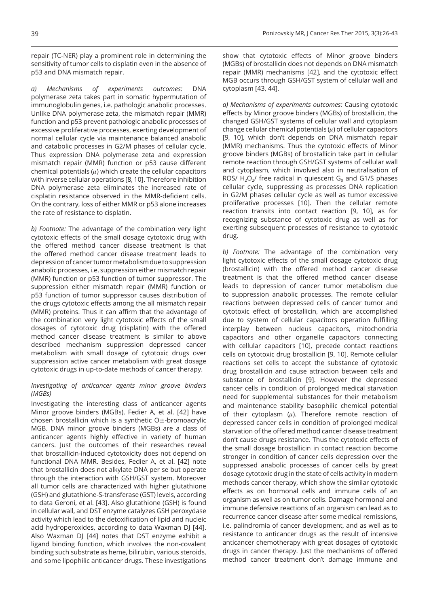repair (TC-NER) play a prominent role in determining the sensitivity of tumor cells to cisplatin even in the absence of p53 and DNA mismatch repair.

*a) Mechanisms of experiments outcomes:* DNA polymerase zeta takes part in somatic hypermutation of immunoglobulin genes, i.e. pathologic anabolic processes. Unlike DNA polymerase zeta, the mismatch repair (MMR) function and p53 prevent pathologic anabolic processes of excessive proliferative processes, exerting development of normal cellular cycle via maintenance balanced anabolic and catabolic processes in G2/M phases of cellular cycle. Thus expression DNA polymerase zeta and expression mismatch repair (MMR) function or p53 cause different chemical potentials  $(u)$  which create the cellular capacitors with inverse cellular operations [8, 10]. Therefore inhibition DNA polymerase zeta eliminates the increased rate of cisplatin resistance observed in the MMR-deficient cells. On the contrary, loss of either MMR or p53 alone increases the rate of resistance to cisplatin.

*b) Footnote:* The advantage of the combination very light cytotoxic effects of the small dosage cytotoxic drug with the offered method cancer disease treatment is that the offered method cancer disease treatment leads to depression of cancer tumor metabolism due to suppression anabolic processes, i.e. suppression either mismatch repair (MMR) function or p53 function of tumor suppressor. The suppression either mismatch repair (MMR) function or p53 function of tumor suppressor causes distribution of the drugs cytotoxic effects among the all mismatch repair (MMR) proteins. Thus it can affirm that the advantage of the combination very light cytotoxic effects of the small dosages of cytotoxic drug (cisplatin) with the offered method cancer disease treatment is similar to above described mechanism suppression depressed cancer metabolism with small dosage of cytotoxic drugs over suppression active cancer metabolism with great dosage cytotoxic drugs in up-to-date methods of cancer therapy.

#### *Investigating of anticancer agents minor groove binders (MGBs)*

Investigating the interesting class of anticancer agents Minor groove binders (MGBs), Fedier A, et al. [42] have chosen brostallicin which is a synthetic  $O\pm$ -bromoacrylic MGB. DNA minor groove binders (MGBs) are a class of anticancer agents highly effective in variety of human cancers. Just the outcomes of their researches reveal that brostallicin-induced cytotoxicity does not depend on functional DNA MMR. Besides, Fedier A, et al. [42] note that brostallicin does not alkylate DNA per se but operate through the interaction with GSH/GST system. Moreover all tumor cells are characterized with higher glutathione (GSH) and glutathione-S-transferase (GST) levels, according to data Geroni, et al. [43]. Also glutathione (GSH) is found in cellular wall, and DST enzyme catalyzes GSH peroxydase activity which lead to the detoxification of lipid and nucleic acid hydroperoxides, according to data Waxman DJ [44]. Also Waxman DJ [44] notes that DST enzyme exhibit a ligand binding function, which involves the non-covalent binding such substrate as heme, bilirubin, various steroids, and some lipophilic anticancer drugs. These investigations

show that cytotoxic effects of Minor groove binders (MGBs) of brostallicin does not depends on DNA mismatch repair (MMR) mechanisms [42], and the cytotoxic effect MGB occurs through GSH/GST system of cellular wall and cytoplasm [43, 44].

*a) Mechanisms of experiments outcomes:* Causing cytotoxic effects by Minor groove binders (MGBs) of brostallicin, the changed GSH/GST systems of cellular wall and cytoplasm change cellular chemical potentials  $(\mu)$  of cellular capacitors [9, 10], which don't depends on DNA mismatch repair (MMR) mechanisms. Thus the cytotoxic effects of Minor groove binders (MGBs) of brostallicin take part in cellular remote reaction through GSH/GST systems of cellular wall and cytoplasm, which involved also in neutralisation of ROS/  $H_2O_2$ / free radical in quiescent  $G_0$  and G1/S phases cellular cycle, suppressing as processes DNA replication in G2/M phases cellular cycle as well as tumor excessive proliferative processes [10]. Then the cellular remote reaction transits into contact reaction [9, 10], as for recognizing substance of cytotoxic drug as well as for exerting subsequent processes of resistance to cytotoxic drug.

*b) Footnote:* The advantage of the combination very light cytotoxic effects of the small dosage cytotoxic drug (brostallicin) with the offered method cancer disease treatment is that the offered method cancer disease leads to depression of cancer tumor metabolism due to suppression anabolic processes. The remote cellular reactions between depressed cells of cancer tumor and cytotoxic effect of brostallicin, which are accomplished due to system of cellular capacitors operation fulfilling interplay between nucleus capacitors, mitochondria capacitors and other organelle capacitors connecting with cellular capacitors [10], precede contact reactions cells on cytotoxic drug brostallicin [9, 10]. Remote cellular reactions set cells to accept the substance of cytotoxic drug brostallicin and cause attraction between cells and substance of brostallicin [9]. However the depressed cancer cells in condition of prolonged medical starvation need for supplemental substances for their metabolism and maintenance stability basophilic chemical potential of their cytoplasm  $(\mu)$ . Therefore remote reaction of depressed cancer cells in condition of prolonged medical starvation of the offered method cancer disease treatment don't cause drugs resistance. Thus the cytotoxic effects of the small dosage brostallicin in contact reaction become stronger in condition of cancer cells depression over the suppressed anabolic processes of cancer cells by great dosage cytotoxic drug in the state of cells activity in modern methods cancer therapy, which show the similar cytotoxic effects as on hormonal cells and immune cells of an organism as well as on tumor cells. Damage hormonal and immune defensive reactions of an organism can lead as to recurrence cancer disease after some medical remissions, i.e. palindromia of cancer development, and as well as to resistance to anticancer drugs as the result of intensive anticancer chemotherapy with great dosages of cytotoxic drugs in cancer therapy. Just the mechanisms of offered method cancer treatment don't damage immune and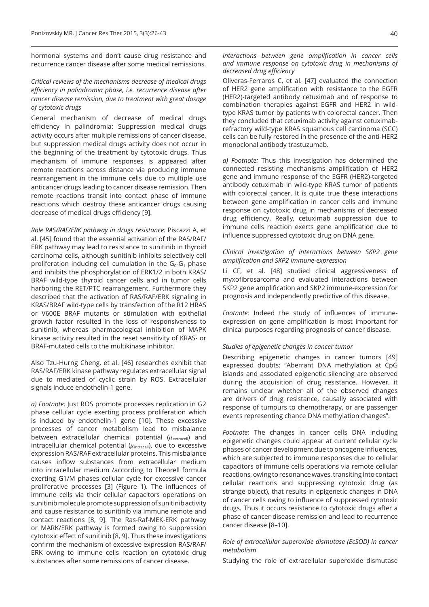hormonal systems and don't cause drug resistance and recurrence cancer disease after some medical remissions.

## *Critical reviews of the mechanisms decrease of medical drugs efficiency in palindromia phase, i.e. recurrence disease after cancer disease remission, due to treatment with great dosage of cytotoxic drugs*

General mechanism of decrease of medical drugs efficiency in palindromia: Suppression medical drugs activity occurs after multiple remissions of cancer disease, but suppression medical drugs activity does not occur in the beginning of the treatment by cytotoxic drugs. Thus mechanism of immune responses is appeared after remote reactions across distance via producing immune rearrangement in the immune cells due to multiple use anticancer drugs leading to cancer disease remission. Then remote reactions transit into contact phase of immune reactions which destroy these anticancer drugs causing decrease of medical drugs efficiency [9].

*Role RAS/RAF/ERK pathway in drugs resistance:* Piscazzi A, et al. [45] found that the essential activation of the RAS/RAF/ ERK pathway may lead to resistance to sunitinib in thyroid carcinoma cells, although sunitinib inhibits selectively cell proliferation inducing cell cumulation in the  $G_0-G_1$  phase and inhibits the phosphorylation of ERK1/2 in both KRAS/ BRAF wild-type thyroid cancer cells and in tumor cells harboring the RET/PTC rearrangement. Furthermore they described that the activation of RAS/RAF/ERK signaling in KRAS/BRAF wild-type cells by transfection of the R12 HRAS or V600E BRAF mutants or stimulation with epithelial growth factor resulted in the loss of responsiveness to sunitinib, whereas pharmacological inhibition of MAPK kinase activity resulted in the reset sensitivity of KRAS- or BRAF-mutated cells to the multikinase inhibitor.

Also Tzu-Hurng Cheng, et al. [46] researches exhibit that RAS/RAF/ERK kinase pathway regulates extracellular signal due to mediated of cyclic strain by ROS. Extracellular signals induce endothelin-1 gene.

*a) Footnote:* Just ROS promote processes replication in G2 phase cellular cycle exerting process proliferation which is induced by endothelin-1 gene [10]. These excessive processes of cancer metabolism lead to misbalance between extracellular chemical potential  $(\mu_{\text{extracell}})$  and intracellular chemical potential  $(u<sub>intrace</sub>]]$ , due to excessive expression RAS/RAF extracellular proteins. This misbalance causes inflow substances from extracellular medium into intracellular medium /according to Theorell formula exerting G1/M phases cellular cycle for excessive cancer proliferative processes [3] (Figure 1). The influences of immune cells via their cellular capacitors operations on sunitinib molecule promote suppression of sunitinib activity and cause resistance to sunitinib via immune remote and contact reactions [8, 9]. The Ras-Raf-MEK-ERK pathway or MARK/ERK pathway is formed owing to suppression cytotoxic effect of sunitinib [8, 9]. Thus these investigations confirm the mechanism of excessive expression RAS/RAF/ ERK owing to immune cells reaction on cytotoxic drug substances after some remissions of cancer disease.

*Interactions between gene amplification in cancer cells and immune response on cytotoxic drug in mechanisms of decreased drug efficiency*

Oliveras-Ferraros C, et al. [47] evaluated the connection of HER2 gene amplification with resistance to the EGFR (HER2)-targeted antibody cetuximab and of response to combination therapies against EGFR and HER2 in wildtype KRAS tumor by patients with colorectal cancer. Then they concluded that cetuximab activity against cetuximabrefractory wild-type KRAS squamous cell carcinoma (SCC) cells can be fully restored in the presence of the anti-HER2 monoclonal antibody trastuzumab.

*a) Footnote:* Thus this investigation has determined the connected resisting mechanisms amplification of HER2 gene and immune response of the EGFR (HER2)-targeted antibody cetuximab in wild-type KRAS tumor of patients with colorectal cancer. It is quite true these interactions between gene amplification in cancer cells and immune response on cytotoxic drug in mechanisms of decreased drug efficiency. Really, cetuximab suppression due to immune cells reaction exerts gene amplification due to influence suppressed cytotoxic drug on DNA gene.

#### *Clinical investigation of interactions between SKP2 gene amplification and SKP2 immune-expression*

Li CF, et al. [48] studied clinical aggressiveness of myxofibrosarcoma and evaluated interactions between SKP2 gene amplification and SKP2 immune-expression for prognosis and independently predictive of this disease.

*Footnote:* Indeed the study of influences of immuneexpression on gene amplification is most important for clinical purposes regarding prognosis of cancer disease.

## *Studies of epigenetic changes in cancer tumor*

Describing epigenetic changes in cancer tumors [49] expressed doubts: "Aberrant DNA methylation at CpG islands and associated epigenetic silencing are observed during the acquisition of drug resistance. However, it remains unclear whether all of the observed changes are drivers of drug resistance, causally associated with response of tumours to chemotherapy, or are passenger events representing chance DNA methylation changes".

*Footnote:* The changes in cancer cells DNA including epigenetic changes could appear at current cellular cycle phases of cancer development due to oncogene influences, which are subjected to immune responses due to cellular capacitors of immune cells operations via remote cellular reactions, owing to resonance waves, transiting into contact cellular reactions and suppressing cytotoxic drug (as strange object), that results in epigenetic changes in DNA of cancer cells owing to influence of suppressed cytotoxic drugs. Thus it occurs resistance to cytotoxic drugs after a phase of cancer disease remission and lead to recurrence cancer disease [8–10].

#### *Role of extracellular superoxide dismutase (EcSOD) in cancer metabolism*

Studying the role of extracellular superoxide dismutase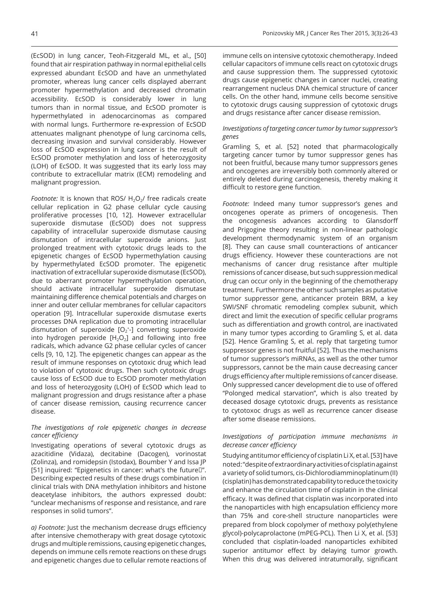(EcSOD) in lung cancer, Teoh-Fitzgerald ML, et al., [50] found that air respiration pathway in normal epithelial cells expressed abundant EcSOD and have an unmethylated promoter, whereas lung cancer cells displayed aberrant promoter hypermethylation and decreased chromatin accessibility. EcSOD is considerably lower in lung tumors than in normal tissue, and EcSOD promoter is hypermethylated in adenocarcinomas as compared with normal lungs. Furthermore re-expression of EcSOD attenuates malignant phenotype of lung carcinoma cells, decreasing invasion and survival considerably. However loss of EcSOD expression in lung cancer is the result of EcSOD promoter methylation and loss of heterozygosity (LOH) of EcSOD. It was suggested that its early loss may contribute to extracellular matrix (ECM) remodeling and malignant progression.

*Footnote:* It is known that ROS/ H<sub>2</sub>O<sub>2</sub>/ free radicals create cellular replication in G2 phase cellular cycle causing proliferative processes [10, 12]. However extracellular superoxide dismutase (EcSOD) does not suppress capability of intracellular superoxide dismutase causing dismutation of intracellular superoxide anions. Just prolonged treatment with cytotoxic drugs leads to the epigenetic changes of EcSOD hypermethylation causing by hypermethylated EcSOD promoter. The epigenetic inactivation of extracellular superoxide dismutase (EcSOD), due to aberrant promoter hypermethylation operation, should activate intracellular superoxide dismutase maintaining difference chemical potentials and charges on inner and outer cellular membranes for cellular capacitors operation [9]. Intracellular superoxide dismutase exerts processes DNA replication due to promoting intracellular dismutation of superoxide  $[O_2^*$ -] converting superoxide into hydrogen peroxide  $[H_2O_2]$  and following into free radicals, which advance G2 phase cellular cycles of cancer cells [9, 10, 12]. The epigenetic changes can appear as the result of immune responses on cytotoxic drug which lead to violation of cytotoxic drugs. Then such cytotoxic drugs cause loss of EcSOD due to EcSOD promoter methylation and loss of heterozygosity (LOH) of EcSOD which lead to malignant progression and drugs resistance after a phase of cancer disease remission, causing recurrence cancer disease.

## *The investigations of role epigenetic changes in decrease cancer efficiency*

Investigating operations of several cytotoxic drugs as azacitidine (Vidaza), decitabine (Dacogen), vorinostat (Zolinza), and romidepsin (Istodax), Boumber Y and Issa JP [51] inquired: "Epigenetics in cancer: what's the future<sup>[17]</sup>. Describing expected results of these drugs combination in clinical trials with DNA methylation inhibitors and histone deacetylase inhibitors, the authors expressed doubt: "unclear mechanisms of response and resistance, and rare responses in solid tumors".

*a) Footnote:* Just the mechanism decrease drugs efficiency after intensive chemotherapy with great dosage cytotoxic drugs and multiple remissions, causing epigenetic changes, depends on immune cells remote reactions on these drugs and epigenetic changes due to cellular remote reactions of immune cells on intensive cytotoxic chemotherapy. Indeed cellular capacitors of immune cells react on cytotoxic drugs and cause suppression them. The suppressed cytotoxic drugs cause epigenetic changes in cancer nuclei, creating rearrangement nucleus DNA chemical structure of cancer cells. On the other hand, immune cells become sensitive to cytotoxic drugs causing suppression of cytotoxic drugs and drugs resistance after cancer disease remission.

## *Investigations of targeting cancer tumor by tumor suppressor's genes*

Gramling S, et al. [52] noted that pharmacologically targeting cancer tumor by tumor suppressor genes has not been fruitful, because many tumor suppressors genes and oncogenes are irreversibly both commonly altered or entirely deleted during carcinogenesis, thereby making it difficult to restore gene function.

*Footnote:* Indeed many tumor suppressor's genes and oncogenes operate as primers of oncogenesis. Then the oncogenesis advances according to Glansdorff and Prigogine theory resulting in non-linear pathologic development thermodynamic system of an organism [8]. They can cause small counteractions of anticancer drugs efficiency. However these counteractions are not mechanisms of cancer drug resistance after multiple remissions of cancer disease, but such suppression medical drug can occur only in the beginning of the chemotherapy treatment. Furthermore the other such samples as putative tumor suppressor gene, anticancer protein BRM, a key SWI/SNF chromatic remodeling complex subunit, which direct and limit the execution of specific cellular programs such as differentiation and growth control, are inactivated in many tumor types according to Gramling S, et al. data [52]. Hence Gramling S, et al. reply that targeting tumor suppressor genes is not fruitful [52]. Thus the mechanisms of tumor suppressor's miRNAs, as well as the other tumor suppressors, cannot be the main cause decreasing cancer drugs efficiency after multiple remissions of cancer disease. Only suppressed cancer development die to use of offered "Polonged medical starvation", which is also treated by deceased dosage cytotoxic drugs, prevents as resistance to cytotoxoc drugs as well as recurrence cancer disease after some disease remissions.

## *Investigations of participation immune mechanisms in decrease cancer efficiency*

Studying antitumor efficiency of cisplatin Li X, et al. [53] have noted: "despite of extraordinary activities of cisplatin against a variety of solid tumors, cis-Dichlorodiamminoplatinum (II) (cisplatin) has demonstrated capability to reduce the toxicity and enhance the circulation time of cisplatin in the clinical efficacy. It was defined that cisplatin was incorporated into the nanoparticles with high encapsulation efficiency more than 75% and core-shell structure nanoparticles were prepared from block copolymer of methoxy poly(ethylene glycol)-polycaprolactone (mPEG-PCL). Then Li X, et al. [53] concluded that cisplatin-loaded nanoparticles exhibited superior antitumor effect by delaying tumor growth. When this drug was delivered intratumorally, significant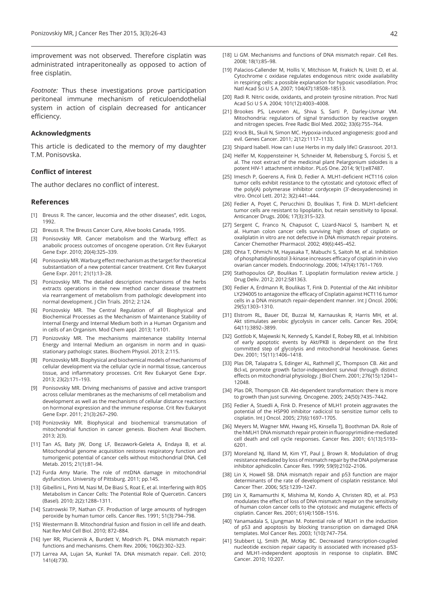improvement was not observed. Therefore cisplatin was administrated intraperitoneally as opposed to action of free cisplatin.

*Footnote:* Thus these investigations prove participation peritoneal immune mechanism of reticuloendothelial system in action of cisplain decreased for anticancer efficiency.

#### **Acknowledgments**

This article is dedicated to the memory of my daughter T.M. Ponisovska.

#### **Conflict of interest**

The author declares no conflict of interest.

#### **References**

- [1] Breuss R. The cancer, leucomia and the other diseases", edit. Logos, 1992.
- [2] Breuss R. The Breuss Cancer Cure, Alive books Canada, 1995.
- [3] Ponisovskiy MR. Cancer metabolism and the Warburg effect as anabolic process outcomes of oncogene operation. Crit Rev Eukaryot Gene Expr. 2010; 20(4):325–339.
- [4] Ponisovskiy MR. Warburg effect mechanism as the target for theoretical substantiation of a new potential cancer treatment. Crit Rev Eukaryot Gene Expr. 2011; 21(1):13–28.
- [5] Ponizovskiy MR. The detailed description mechanisms of the herbs extracts operations in the new method cancer disease treatment via rearrangement of metabolism from pathologic development into normal development. J Clin Trials. 2012; 2:124.
- [6] Ponizovskiy MR. The Central Regulation of all Biophysical and Biochemical Processes as the Mechanism of Maintenance Stability of Internal Energy and Internal Medium both in a Human Organism and in cells of an Organism. Mod Chem appl. 2013; 1:e101.
- [7] Ponizovskiy MR. The mechanisms maintenance stability Internal Energy and Internal Medium an organism in norm and in quasistationary pathologic states. Biochem Physiol. 2013; 2:115.
- [8] Ponizovskiy MR. Biophysical and biochemical models of mechanisms of cellular development via the cellular cycle in normal tissue, cancerous tissue, and inflammatory processes. Crit Rev Eukaryot Gene Expr. 2013; 23(2):171–193.
- [9] Ponisovskiy MR. Driving mechanisms of passive and active transport across cellular membranes as the mechanisms of cell metabolism and development as well as the mechanisms of cellular distance reactions on hormonal expression and the immune response. Crit Rev Eukaryot Gene Expr. 2011; 21(3):267–290.
- [10] Ponizovskiy MR. Biophysical and biochemical transmutation of mitochondrial function in cancer genesis. Biochem Anal Biochem. 2013; 2(3).
- [11] Tan AS, Baty JW, Dong LF, Bezawork-Geleta A, Endaya B, et al. Mitochondrial genome acquisition restores respiratory function and tumorigenic potential of cancer cells without mitochondrial DNA. Cell Metab. 2015; 21(1):81–94.
- [12] Furda Amy Marie. The role of mtDNA damage in mitochondrial dysfunction. University of Pittsburg. 2011; pp.145.
- [13] Gibellini L, Pinti M, Nasi M, De Biasi S, Roat E, et al. Interfering with ROS Metabolism in Cancer Cells: The Potential Role of Quercetin. Cancers (Basel). 2010; 2(2):1288–1311.
- [14] Szatrowski TP, Nathan CF. Production of large amounts of hydrogen peroxide by human tumor cells. Cancer Res. 1991; 51(3):794–798.
- [15] Westermann B. Mitochondrial fusion and fission in cell life and death. Nat Rev Mol Cell Biol. 2010; 872–884.
- [16] Iyer RR, Pluciennik A, Burdett V, Modrich PL. DNA mismatch repair: functions and mechanisms. Chem Rev. 2006; 106(2):302–323.
- [17] Larrea AA, Lujan SA, Kunkel TA. DNA mismatch repair. Cell. 2010; 141(4):730.
- [18] Li GM. Mechanisms and functions of DNA mismatch repair. Cell Res. 2008; 18(1):85–98.
- [19] Palacios-Callender M, Hollis V, Mitchison M, Frakich N, Unitt D, et al. Cytochrome c oxidase regulates endogenous nitric oxide availability in respiring cells: a possible explanation for hypoxic vasodilation. Proc Natl Acad Sci U S A. 2007; 104(47):18508–18513.
- [20] Radi R. Nitric oxide, oxidants, and protein tyrosine nitration. Proc Natl Acad Sci U S A. 2004; 101(12):4003–4008.
- [21] Brookes PS, Levonen AL, Shiva S, Sarti P, Darley-Usmar VM. Mitochondria: regulators of signal transduction by reactive oxygen and nitrogen species. Free Radic Biol Med. 2002; 33(6):755–764.
- [22] Krock BL, Skuli N, Simon MC. Hypoxia-induced angiogenesis: good and evil. Genes Cancer. 2011; 2(12):1117–1133.
- [23] Shipard Isabell. How can I use Herbs in my daily life<sup>[]</sup> Grassroot. 2013.
- [24] Helfer M, Koppensteiner H, Schneider M, Rebensburg S, Forcisi S, et al. The root extract of the medicinal plant Pelargonium sidoides is a potent HIV-1 attachment inhibitor. PLoS One. 2014; 9(1):e87487.
- [25] Imesch P, Goerens A, Fink D, Fedier A. MLH1-deficient HCT116 colon tumor cells exhibit resistance to the cytostatic and cytotoxic effect of the poly(A) polymerase inhibitor cordycepin (3'-deoxyadenosine) in vitro. Oncol Lett. 2012; 3(2):441–444.
- [26] Fedier A, Poyet C, Perucchini D, Boulikas T, Fink D. MLH1-deficient tumor cells are resistant to lipoplatin, but retain sensitivity to lipoxal. Anticancer Drugs. 2006; 17(3):315–323.
- [27] Sergent C, Franco N, Chapusot C, Lizard-Nacol S, Isambert N, et al. Human colon cancer cells surviving high doses of cisplatin or oxaliplatin in vitro are not defective in DNA mismatch repair proteins. Cancer Chemother Pharmacol. 2002; 49(6):445–452.
- [28] Ohta T, Ohmichi M, Hayasaka T, Mabuchi S, Saitoh M, et al. Inhibition of phosphatidylinositol 3-kinase increases efficacy of cisplatin in in vivo ovarian cancer models. Endocrinology. 2006; 147(4):1761–1769.
- [29] Stathopoulos GP, Boulikas T. Lipoplatin formulation review article. | Drug Deliv. 2012; 2012:581363.
- [30] Fedier A, Erdmann R, Boulikas T, Fink D. Potential of the Akt inhibitor LY294005 to antagonize the efficacy of Cisplatin against HCT116 tumor cells in a DNA mismatch repair-dependent manner. Int J Oncol. 2006; 29(5):1303–1310.
- [31] Elstrom RL, Bauer DE, Buzzai M, Karnauskas R, Harris MH, et al. Akt stimulates aerobic glycolysis in cancer cells. Cancer Res. 2004; 64(11):3892–3899.
- [32] Gottlob K, Majewski N, Kennedy S, Kandel E, Robey RB, et al. Inhibition of early apoptotic events by Akt/PKB is dependent on the first committed step of glycolysis and mitochondrial hexokinase. Genes Dev. 2001; 15(11):1406–1418.
- [33] Plas DR, Talapatra S, Edinger AL, Rathmell JC, Thompson CB. Akt and Bcl-xL promote growth factor-independent survival through distinct effects on mitochondrial physiology. J Biol Chem. 2001; 276(15):12041– 12048.
- [34] Plas DR, Thompson CB. Akt-dependent transformation: there is more to growth than just surviving. Oncogene. 2005; 24(50):7435–7442.
- [35] Fedier A, Stuedli A, Fink D. Presence of MLH1 protein aggravates the potential of the HSP90 inhibitor radicicol to sensitize tumor cells to cisplatin. Int J Oncol. 2005; 27(6):1697–1705.
- [36] Meyers M, Wagner MW, Hwang HS, Kinsella TJ, Boothman DA. Role of the hMLH1 DNA mismatch repair protein in fluoropyrimidine-mediated cell death and cell cycle responses. Cancer Res. 2001; 61(13):5193– 6201.
- [37] Moreland NJ, Illand M, Kim YT, Paul J, Brown R. Modulation of drug resistance mediated by loss of mismatch repair by the DNA polymerase inhibitor aphidicolin. Cancer Res. 1999; 59(9):2102–2106.
- [38] Lin X, Howell SB. DNA mismatch repair and p53 function are major determinants of the rate of development of cisplatin resistance. Mol Cancer Ther. 2006; 5(5):1239–1247.
- [39] Lin X, Ramamurthi K, Mishima M, Kondo A, Christen RD, et al. P53 modulates the effect of loss of DNA mismatch repair on the sensitivity of human colon cancer cells to the cytotoxic and mutagenic effects of cisplatin. Cancer Res. 2001; 61(4):1508–1516.
- [40] Yanamadala S, Ljungman M. Potential role of MLH1 in the induction of p53 and apoptosis by blocking transcription on damaged DNA templates. Mol Cancer Res. 2003; 1(10):747–754.
- [41] Stubbert LJ, Smith JM, McKay BC. Decreased transcription-coupled nucleotide excision repair capacity is associated with increased p53 and MLH1-independent apoptosis in response to cisplatin. BMC Cancer. 2010; 10:207.